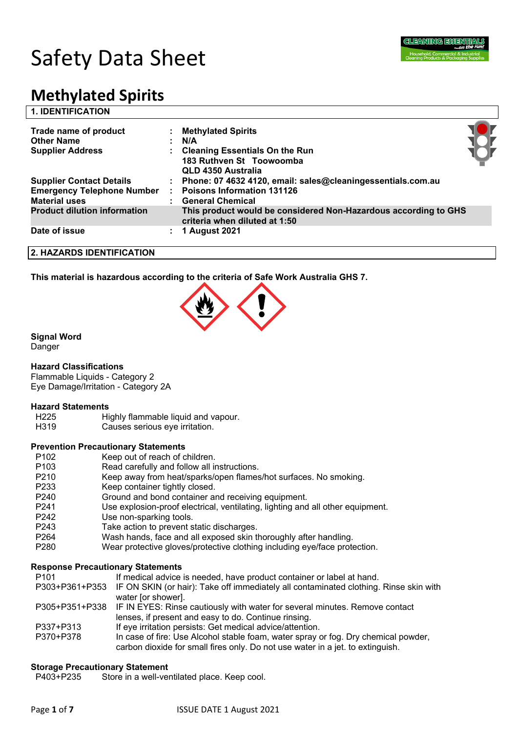

# Safety Data Sheet

## **Methylated Spirits**

| <b>1. IDENTIFICATION</b>            |    |                                                                                                  |  |
|-------------------------------------|----|--------------------------------------------------------------------------------------------------|--|
| Trade name of product               |    | : Methylated Spirits                                                                             |  |
| <b>Other Name</b>                   |    | N/A                                                                                              |  |
| <b>Supplier Address</b>             |    | <b>Cleaning Essentials On the Run</b>                                                            |  |
|                                     |    | 183 Ruthven St Toowoomba                                                                         |  |
|                                     |    | QLD 4350 Australia                                                                               |  |
| <b>Supplier Contact Details</b>     |    | Phone: 07 4632 4120, email: sales@cleaningessentials.com.au                                      |  |
| <b>Emergency Telephone Number</b>   |    | <b>Poisons Information 131126</b>                                                                |  |
| <b>Material uses</b>                |    | <b>General Chemical</b>                                                                          |  |
| <b>Product dilution information</b> |    | This product would be considered Non-Hazardous according to GHS<br>criteria when diluted at 1:50 |  |
| Date of issue                       | ÷. | 1 August 2021                                                                                    |  |
| 2. HAZARDS IDENTIFICATION           |    |                                                                                                  |  |

**This material is hazardous according to the criteria of Safe Work Australia GHS 7.**



### **Signal Word**

Danger

### **Hazard Classifications**

Flammable Liquids - Category 2 Eye Damage/Irritation - Category 2A

### **Hazard Statements**

- H225 Highly flammable liquid and vapour.
- H319 Causes serious eye irritation.

### **Prevention Precautionary Statements**

- P102 Keep out of reach of children.
- P103 Read carefully and follow all instructions.
- P210 Keep away from heat/sparks/open flames/hot surfaces. No smoking.
- P233 Keep container tightly closed.
- P240 Ground and bond container and receiving equipment.
- P241 Use explosion-proof electrical, ventilating, lighting and all other equipment.
- P242 Use non-sparking tools.
- P243 Take action to prevent static discharges.
- P264 Wash hands, face and all exposed skin thoroughly after handling.
- P280 Wear protective gloves/protective clothing including eye/face protection.

### **Response Precautionary Statements**

P101 If medical advice is needed, have product container or label at hand.

- P303+P361+P353 IF ON SKIN (or hair): Take off immediately all contaminated clothing. Rinse skin with water [or shower].
- P305+P351+P338 IF IN EYES: Rinse cautiously with water for several minutes. Remove contact lenses, if present and easy to do. Continue rinsing.
- P337+P313 If eye irritation persists: Get medical advice/attention.
- P370+P378 In case of fire: Use Alcohol stable foam, water spray or fog. Dry chemical powder, carbon dioxide for small fires only. Do not use water in a jet. to extinguish.

### **Storage Precautionary Statement**

P403+P235 Store in a well-ventilated place. Keep cool.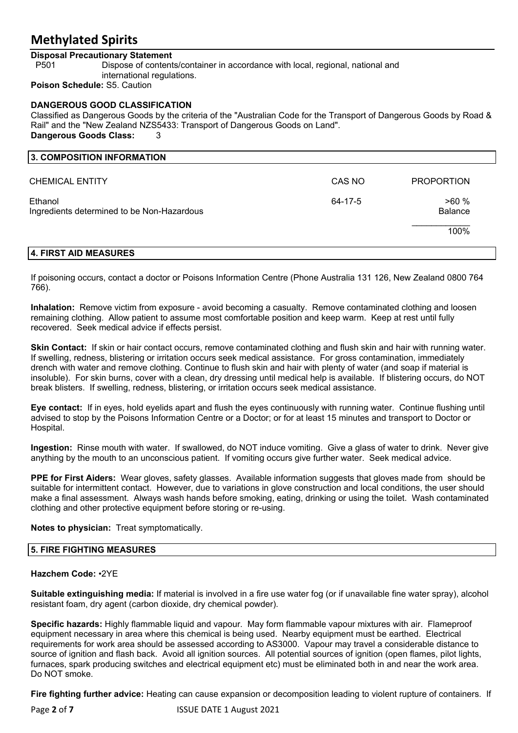### **Disposal Precautionary Statement**

P501 Dispose of contents/container in accordance with local, regional, national and international regulations. **Poison Schedule:** S5. Caution

**DANGEROUS GOOD CLASSIFICATION** Classified as Dangerous Goods by the criteria of the "Australian Code for the Transport of Dangerous Goods by Road & Rail" and the "New Zealand NZS5433: Transport of Dangerous Goods on Land". **Dangerous Goods Class:** 3

| 3. COMPOSITION INFORMATION                            |         |                        |
|-------------------------------------------------------|---------|------------------------|
| <b>CHEMICAL ENTITY</b>                                | CAS NO  | <b>PROPORTION</b>      |
| Ethanol<br>Ingredients determined to be Non-Hazardous | 64-17-5 | >60%<br><b>Balance</b> |
|                                                       |         | 100%                   |
|                                                       |         |                        |

### **4. FIRST AID MEASURES**

If poisoning occurs, contact a doctor or Poisons Information Centre (Phone Australia 131 126, New Zealand 0800 764 766).

**Inhalation:** Remove victim from exposure - avoid becoming a casualty. Remove contaminated clothing and loosen remaining clothing. Allow patient to assume most comfortable position and keep warm. Keep at rest until fully recovered. Seek medical advice if effects persist.

**Skin Contact:** If skin or hair contact occurs, remove contaminated clothing and flush skin and hair with running water. If swelling, redness, blistering or irritation occurs seek medical assistance. For gross contamination, immediately drench with water and remove clothing. Continue to flush skin and hair with plenty of water (and soap if material is insoluble). For skin burns, cover with a clean, dry dressing until medical help is available. If blistering occurs, do NOT break blisters. If swelling, redness, blistering, or irritation occurs seek medical assistance.

**Eye contact:** If in eyes, hold eyelids apart and flush the eyes continuously with running water. Continue flushing until advised to stop by the Poisons Information Centre or a Doctor; or for at least 15 minutes and transport to Doctor or Hospital.

**Ingestion:** Rinse mouth with water. If swallowed, do NOT induce vomiting. Give a glass of water to drink. Never give anything by the mouth to an unconscious patient. If vomiting occurs give further water. Seek medical advice.

**PPE for First Aiders:** Wear gloves, safety glasses. Available information suggests that gloves made from should be suitable for intermittent contact. However, due to variations in glove construction and local conditions, the user should make a final assessment. Always wash hands before smoking, eating, drinking or using the toilet. Wash contaminated clothing and other protective equipment before storing or re-using.

### **Notes to physician:** Treat symptomatically.

### **5. FIRE FIGHTING MEASURES**

### **Hazchem Code:** •2YE

**Suitable extinguishing media:** If material is involved in a fire use water fog (or if unavailable fine water spray), alcohol resistant foam, dry agent (carbon dioxide, dry chemical powder).

**Specific hazards:** Highly flammable liquid and vapour. May form flammable vapour mixtures with air. Flameproof equipment necessary in area where this chemical is being used. Nearby equipment must be earthed. Electrical requirements for work area should be assessed according to AS3000. Vapour may travel a considerable distance to source of ignition and flash back. Avoid all ignition sources. All potential sources of ignition (open flames, pilot lights, furnaces, spark producing switches and electrical equipment etc) must be eliminated both in and near the work area. Do NOT smoke.

**Fire fighting further advice:** Heating can cause expansion or decomposition leading to violent rupture of containers. If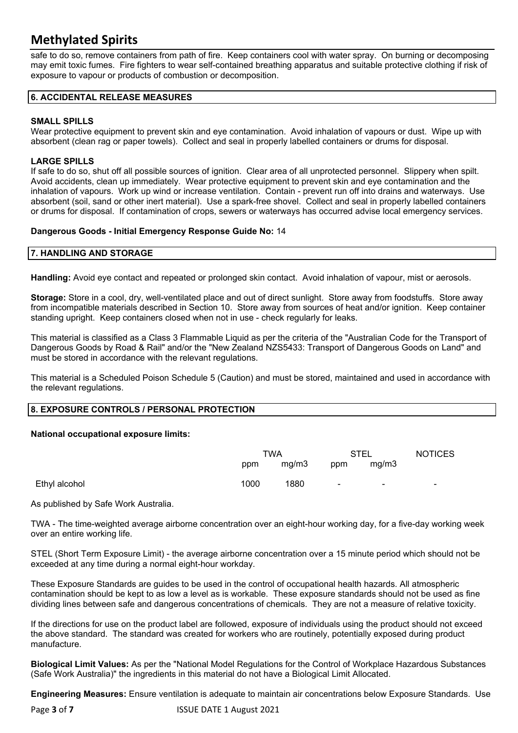safe to do so, remove containers from path of fire. Keep containers cool with water spray. On burning or decomposing may emit toxic fumes. Fire fighters to wear self-contained breathing apparatus and suitable protective clothing if risk of exposure to vapour or products of combustion or decomposition.

### **6. ACCIDENTAL RELEASE MEASURES**

### **SMALL SPILLS**

Wear protective equipment to prevent skin and eye contamination. Avoid inhalation of vapours or dust. Wipe up with absorbent (clean rag or paper towels). Collect and seal in properly labelled containers or drums for disposal.

### **LARGE SPILLS**

If safe to do so, shut off all possible sources of ignition. Clear area of all unprotected personnel. Slippery when spilt. Avoid accidents, clean up immediately. Wear protective equipment to prevent skin and eye contamination and the inhalation of vapours. Work up wind or increase ventilation. Contain - prevent run off into drains and waterways. Use absorbent (soil, sand or other inert material). Use a spark-free shovel. Collect and seal in properly labelled containers or drums for disposal. If contamination of crops, sewers or waterways has occurred advise local emergency services.

### **Dangerous Goods - Initial Emergency Response Guide No:** 14

### **7. HANDLING AND STORAGE**

**Handling:** Avoid eye contact and repeated or prolonged skin contact. Avoid inhalation of vapour, mist or aerosols.

**Storage:** Store in a cool, dry, well-ventilated place and out of direct sunlight. Store away from foodstuffs. Store away from incompatible materials described in Section 10. Store away from sources of heat and/or ignition. Keep container standing upright. Keep containers closed when not in use - check regularly for leaks.

This material is classified as a Class 3 Flammable Liquid as per the criteria of the "Australian Code for the Transport of Dangerous Goods by Road & Rail" and/or the "New Zealand NZS5433: Transport of Dangerous Goods on Land" and must be stored in accordance with the relevant regulations.

This material is a Scheduled Poison Schedule 5 (Caution) and must be stored, maintained and used in accordance with the relevant regulations.

### **8. EXPOSURE CONTROLS / PERSONAL PROTECTION**

### **National occupational exposure limits:**

|               | TWA  |       | <b>STEL</b> |       | <b>NOTICES</b>           |
|---------------|------|-------|-------------|-------|--------------------------|
|               | ppm  | mg/m3 | ppm         | mg/m3 |                          |
| Ethyl alcohol | 1000 | 1880  | ٠           | ٠     | $\overline{\phantom{0}}$ |

As published by Safe Work Australia.

TWA - The time-weighted average airborne concentration over an eight-hour working day, for a five-day working week over an entire working life.

STEL (Short Term Exposure Limit) - the average airborne concentration over a 15 minute period which should not be exceeded at any time during a normal eight-hour workday.

These Exposure Standards are guides to be used in the control of occupational health hazards. All atmospheric contamination should be kept to as low a level as is workable. These exposure standards should not be used as fine dividing lines between safe and dangerous concentrations of chemicals. They are not a measure of relative toxicity.

If the directions for use on the product label are followed, exposure of individuals using the product should not exceed the above standard. The standard was created for workers who are routinely, potentially exposed during product manufacture.

**Biological Limit Values:** As per the "National Model Regulations for the Control of Workplace Hazardous Substances (Safe Work Australia)" the ingredients in this material do not have a Biological Limit Allocated.

**Engineering Measures:** Ensure ventilation is adequate to maintain air concentrations below Exposure Standards. Use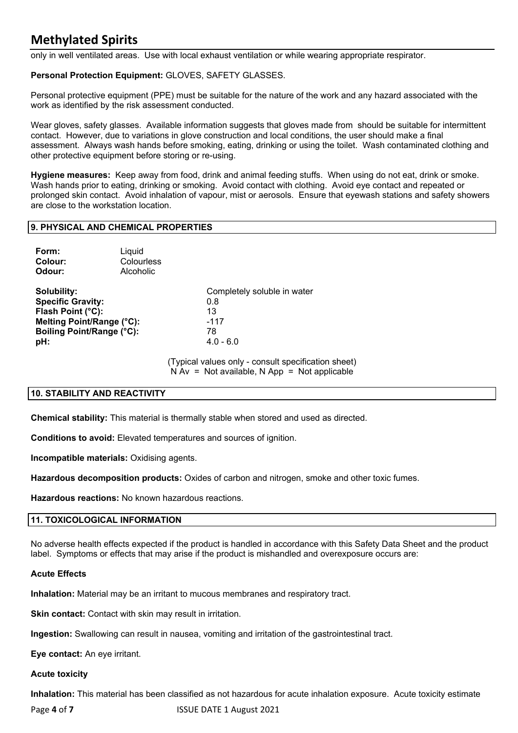only in well ventilated areas. Use with local exhaust ventilation or while wearing appropriate respirator.

### **Personal Protection Equipment:** GLOVES, SAFETY GLASSES.

Personal protective equipment (PPE) must be suitable for the nature of the work and any hazard associated with the work as identified by the risk assessment conducted.

Wear gloves, safety glasses. Available information suggests that gloves made from should be suitable for intermittent contact. However, due to variations in glove construction and local conditions, the user should make a final assessment. Always wash hands before smoking, eating, drinking or using the toilet. Wash contaminated clothing and other protective equipment before storing or re-using.

**Hygiene measures:** Keep away from food, drink and animal feeding stuffs. When using do not eat, drink or smoke. Wash hands prior to eating, drinking or smoking. Avoid contact with clothing. Avoid eye contact and repeated or prolonged skin contact. Avoid inhalation of vapour, mist or aerosols. Ensure that eyewash stations and safety showers are close to the workstation location.

### **9. PHYSICAL AND CHEMICAL PROPERTIES**

| Form:<br>Colour:<br>Odour:                                                                                                    | Liquid<br>Colourless<br>Alcoholic |                                                                         |
|-------------------------------------------------------------------------------------------------------------------------------|-----------------------------------|-------------------------------------------------------------------------|
| Solubility:<br><b>Specific Gravity:</b><br>Flash Point (°C):<br>Melting Point/Range (°C):<br>Boiling Point/Range (°C):<br>pH: |                                   | Completely soluble in water<br>0.8<br>13<br>$-117$<br>78<br>$4.0 - 6.0$ |

(Typical values only - consult specification sheet)  $N Av = Not available, N App = Not applicable$ 

### **10. STABILITY AND REACTIVITY**

**Chemical stability:** This material is thermally stable when stored and used as directed.

**Conditions to avoid:** Elevated temperatures and sources of ignition.

**Incompatible materials:** Oxidising agents.

**Hazardous decomposition products:** Oxides of carbon and nitrogen, smoke and other toxic fumes.

**Hazardous reactions:** No known hazardous reactions.

### **11. TOXICOLOGICAL INFORMATION**

No adverse health effects expected if the product is handled in accordance with this Safety Data Sheet and the product label. Symptoms or effects that may arise if the product is mishandled and overexposure occurs are:

### **Acute Effects**

**Inhalation:** Material may be an irritant to mucous membranes and respiratory tract.

**Skin contact:** Contact with skin may result in irritation.

**Ingestion:** Swallowing can result in nausea, vomiting and irritation of the gastrointestinal tract.

**Eye contact:** An eye irritant.

**Acute toxicity**

**Inhalation:** This material has been classified as not hazardous for acute inhalation exposure. Acute toxicity estimate

Page 4 of 7 **ISSUE DATE 1 August 2021**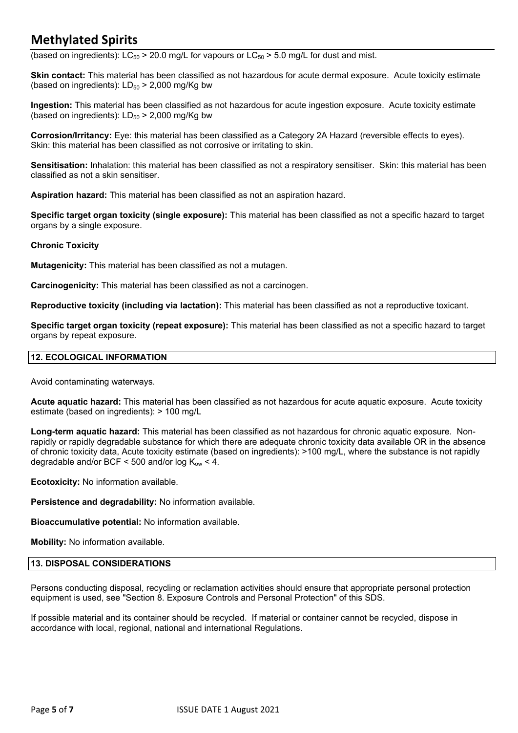(based on ingredients):  $LC_{50} > 20.0$  mg/L for vapours or  $LC_{50} > 5.0$  mg/L for dust and mist.

**Skin contact:** This material has been classified as not hazardous for acute dermal exposure. Acute toxicity estimate (based on ingredients):  $LD_{50}$  > 2,000 mg/Kg bw

**Ingestion:** This material has been classified as not hazardous for acute ingestion exposure. Acute toxicity estimate (based on ingredients):  $LD_{50}$  > 2,000 mg/Kg bw

**Corrosion/Irritancy:** Eye: this material has been classified as a Category 2A Hazard (reversible effects to eyes). Skin: this material has been classified as not corrosive or irritating to skin.

**Sensitisation:** Inhalation: this material has been classified as not a respiratory sensitiser. Skin: this material has been classified as not a skin sensitiser.

**Aspiration hazard:** This material has been classified as not an aspiration hazard.

**Specific target organ toxicity (single exposure):** This material has been classified as not a specific hazard to target organs by a single exposure.

### **Chronic Toxicity**

**Mutagenicity:** This material has been classified as not a mutagen.

**Carcinogenicity:** This material has been classified as not a carcinogen.

**Reproductive toxicity (including via lactation):** This material has been classified as not a reproductive toxicant.

**Specific target organ toxicity (repeat exposure):** This material has been classified as not a specific hazard to target organs by repeat exposure.

### **12. ECOLOGICAL INFORMATION**

Avoid contaminating waterways.

**Acute aquatic hazard:** This material has been classified as not hazardous for acute aquatic exposure. Acute toxicity estimate (based on ingredients): > 100 mg/L

**Long-term aquatic hazard:** This material has been classified as not hazardous for chronic aquatic exposure. Nonrapidly or rapidly degradable substance for which there are adequate chronic toxicity data available OR in the absence of chronic toxicity data, Acute toxicity estimate (based on ingredients): >100 mg/L, where the substance is not rapidly degradable and/or BCF < 500 and/or log  $K_{ow}$  < 4.

**Ecotoxicity:** No information available.

**Persistence and degradability:** No information available.

**Bioaccumulative potential:** No information available.

**Mobility:** No information available.

### **13. DISPOSAL CONSIDERATIONS**

Persons conducting disposal, recycling or reclamation activities should ensure that appropriate personal protection equipment is used, see "Section 8. Exposure Controls and Personal Protection" of this SDS.

If possible material and its container should be recycled. If material or container cannot be recycled, dispose in accordance with local, regional, national and international Regulations.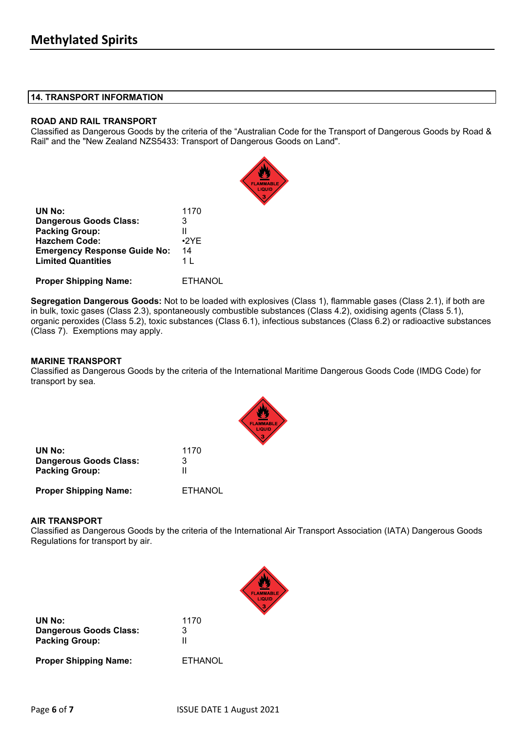### **14. TRANSPORT INFORMATION**

### **ROAD AND RAIL TRANSPORT**

Classified as Dangerous Goods by the criteria of the "Australian Code for the Transport of Dangerous Goods by Road & Rail" and the "New Zealand NZS5433: Transport of Dangerous Goods on Land".

| UN No:                              | 1170        |
|-------------------------------------|-------------|
| Dangerous Goods Class:              | 3           |
| <b>Packing Group:</b>               | Ш           |
| <b>Hazchem Code:</b>                | $\cdot$ 2YE |
| <b>Emergency Response Guide No:</b> | 14          |
| <b>Limited Quantities</b>           | 1 I         |
|                                     |             |
|                                     | .           |

**Proper Shipping Name:** ETHANOL

**Segregation Dangerous Goods:** Not to be loaded with explosives (Class 1), flammable gases (Class 2.1), if both are in bulk, toxic gases (Class 2.3), spontaneously combustible substances (Class 4.2), oxidising agents (Class 5.1), organic peroxides (Class 5.2), toxic substances (Class 6.1), infectious substances (Class 6.2) or radioactive substances (Class 7). Exemptions may apply.

### **MARINE TRANSPORT**

Classified as Dangerous Goods by the criteria of the International Maritime Dangerous Goods Code (IMDG Code) for transport by sea.

| UN No:                        | 1170    |
|-------------------------------|---------|
| <b>Dangerous Goods Class:</b> | З       |
| <b>Packing Group:</b>         |         |
| <b>Proper Shipping Name:</b>  | ETHANOL |

### **AIR TRANSPORT**

Classified as Dangerous Goods by the criteria of the International Air Transport Association (IATA) Dangerous Goods Regulations for transport by air.

| UN No:                                          | 1170           |
|-------------------------------------------------|----------------|
| Dangerous Goods Class:<br><b>Packing Group:</b> | 3<br>Ш         |
| <b>Proper Shipping Name:</b>                    | <b>ETHANOL</b> |